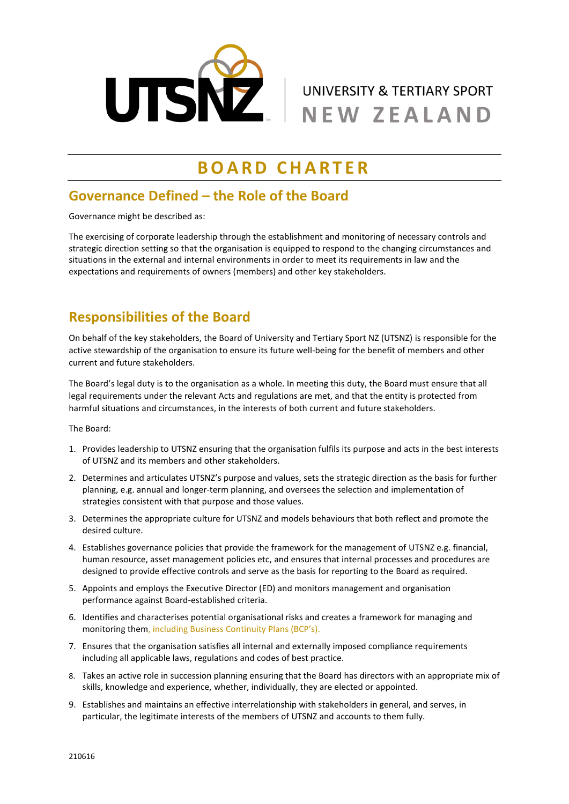

# **B O A R D C H A R T E R**

#### **Governance Defined – the Role of the Board**

Governance might be described as:

The exercising of corporate leadership through the establishment and monitoring of necessary controls and strategic direction setting so that the organisation is equipped to respond to the changing circumstances and situations in the external and internal environments in order to meet its requirements in law and the expectations and requirements of owners (members) and other key stakeholders.

# **Responsibilities of the Board**

On behalf of the key stakeholders, the Board of University and Tertiary Sport NZ (UTSNZ) is responsible for the active stewardship of the organisation to ensure its future well-being for the benefit of members and other current and future stakeholders.

The Board's legal duty is to the organisation as a whole. In meeting this duty, the Board must ensure that all legal requirements under the relevant Acts and regulations are met, and that the entity is protected from harmful situations and circumstances, in the interests of both current and future stakeholders.

The Board:

- 1. Provides leadership to UTSNZ ensuring that the organisation fulfils its purpose and acts in the best interests of UTSNZ and its members and other stakeholders.
- 2. Determines and articulates UTSNZ's purpose and values, sets the strategic direction as the basis for further planning, e.g. annual and longer-term planning, and oversees the selection and implementation of strategies consistent with that purpose and those values.
- 3. Determines the appropriate culture for UTSNZ and models behaviours that both reflect and promote the desired culture.
- 4. Establishes governance policies that provide the framework for the management of UTSNZ e.g. financial, human resource, asset management policies etc, and ensures that internal processes and procedures are designed to provide effective controls and serve as the basis for reporting to the Board as required.
- 5. Appoints and employs the Executive Director (ED) and monitors management and organisation performance against Board-established criteria.
- 6. Identifies and characterises potential organisational risks and creates a framework for managing and monitoring them, including Business Continuity Plans (BCP's).
- 7. Ensures that the organisation satisfies all internal and externally imposed compliance requirements including all applicable laws, regulations and codes of best practice.
- 8. Takes an active role in succession planning ensuring that the Board has directors with an appropriate mix of skills, knowledge and experience, whether, individually, they are elected or appointed.
- 9. Establishes and maintains an effective interrelationship with stakeholders in general, and serves, in particular, the legitimate interests of the members of UTSNZ and accounts to them fully.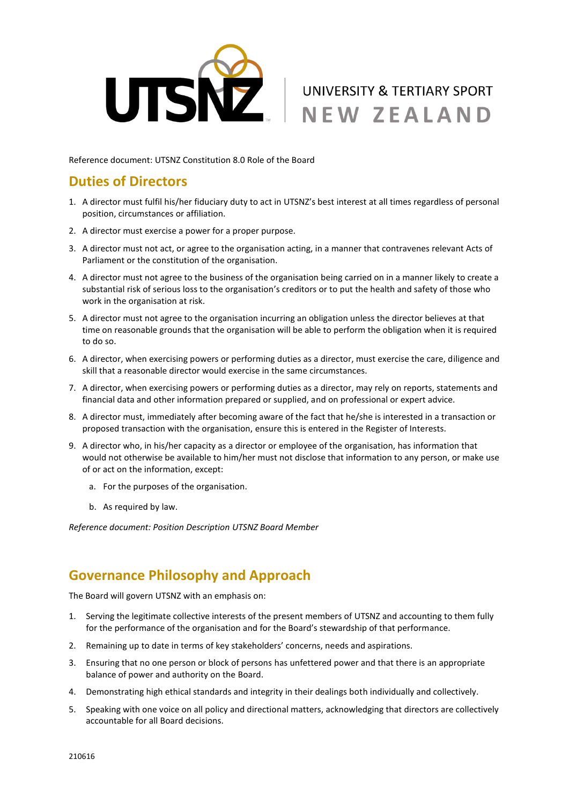

Reference document: UTSNZ Constitution 8.0 Role of the Board

#### **Duties of Directors**

- 1. A director must fulfil his/her fiduciary duty to act in UTSNZ's best interest at all times regardless of personal position, circumstances or affiliation.
- 2. A director must exercise a power for a proper purpose.
- 3. A director must not act, or agree to the organisation acting, in a manner that contravenes relevant Acts of Parliament or the constitution of the organisation.
- 4. A director must not agree to the business of the organisation being carried on in a manner likely to create a substantial risk of serious loss to the organisation's creditors or to put the health and safety of those who work in the organisation at risk.
- 5. A director must not agree to the organisation incurring an obligation unless the director believes at that time on reasonable grounds that the organisation will be able to perform the obligation when it is required to do so.
- 6. A director, when exercising powers or performing duties as a director, must exercise the care, diligence and skill that a reasonable director would exercise in the same circumstances.
- 7. A director, when exercising powers or performing duties as a director, may rely on reports, statements and financial data and other information prepared or supplied, and on professional or expert advice.
- 8. A director must, immediately after becoming aware of the fact that he/she is interested in a transaction or proposed transaction with the organisation, ensure this is entered in the Register of Interests.
- 9. A director who, in his/her capacity as a director or employee of the organisation, has information that would not otherwise be available to him/her must not disclose that information to any person, or make use of or act on the information, except:
	- a. For the purposes of the organisation.
	- b. As required by law.

*Reference document: Position Description UTSNZ Board Member*

#### **Governance Philosophy and Approach**

The Board will govern UTSNZ with an emphasis on:

- 1. Serving the legitimate collective interests of the present members of UTSNZ and accounting to them fully for the performance of the organisation and for the Board's stewardship of that performance.
- 2. Remaining up to date in terms of key stakeholders' concerns, needs and aspirations.
- 3. Ensuring that no one person or block of persons has unfettered power and that there is an appropriate balance of power and authority on the Board.
- 4. Demonstrating high ethical standards and integrity in their dealings both individually and collectively.
- 5. Speaking with one voice on all policy and directional matters, acknowledging that directors are collectively accountable for all Board decisions.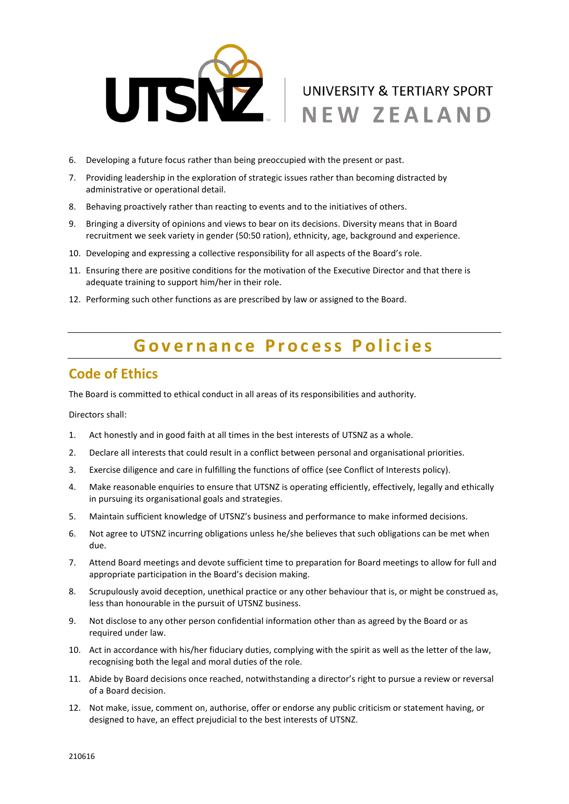

- 6. Developing a future focus rather than being preoccupied with the present or past.
- 7. Providing leadership in the exploration of strategic issues rather than becoming distracted by administrative or operational detail.
- 8. Behaving proactively rather than reacting to events and to the initiatives of others.
- 9. Bringing a diversity of opinions and views to bear on its decisions. Diversity means that in Board recruitment we seek variety in gender (50:50 ration), ethnicity, age, background and experience.
- 10. Developing and expressing a collective responsibility for all aspects of the Board's role.
- 11. Ensuring there are positive conditions for the motivation of the Executive Director and that there is adequate training to support him/her in their role.
- 12. Performing such other functions as are prescribed by law or assigned to the Board.

# Governance Process Policies

#### **Code of Ethics**

The Board is committed to ethical conduct in all areas of its responsibilities and authority.

Directors shall:

- 1. Act honestly and in good faith at all times in the best interests of UTSNZ as a whole.
- 2. Declare all interests that could result in a conflict between personal and organisational priorities.
- 3. Exercise diligence and care in fulfilling the functions of office (see Conflict of Interests policy).
- 4. Make reasonable enquiries to ensure that UTSNZ is operating efficiently, effectively, legally and ethically in pursuing its organisational goals and strategies.
- 5. Maintain sufficient knowledge of UTSNZ's business and performance to make informed decisions.
- 6. Not agree to UTSNZ incurring obligations unless he/she believes that such obligations can be met when due.
- 7. Attend Board meetings and devote sufficient time to preparation for Board meetings to allow for full and appropriate participation in the Board's decision making.
- 8. Scrupulously avoid deception, unethical practice or any other behaviour that is, or might be construed as, less than honourable in the pursuit of UTSNZ business.
- 9. Not disclose to any other person confidential information other than as agreed by the Board or as required under law.
- 10. Act in accordance with his/her fiduciary duties, complying with the spirit as well as the letter of the law, recognising both the legal and moral duties of the role.
- 11. Abide by Board decisions once reached, notwithstanding a director's right to pursue a review or reversal of a Board decision.
- 12. Not make, issue, comment on, authorise, offer or endorse any public criticism or statement having, or designed to have, an effect prejudicial to the best interests of UTSNZ.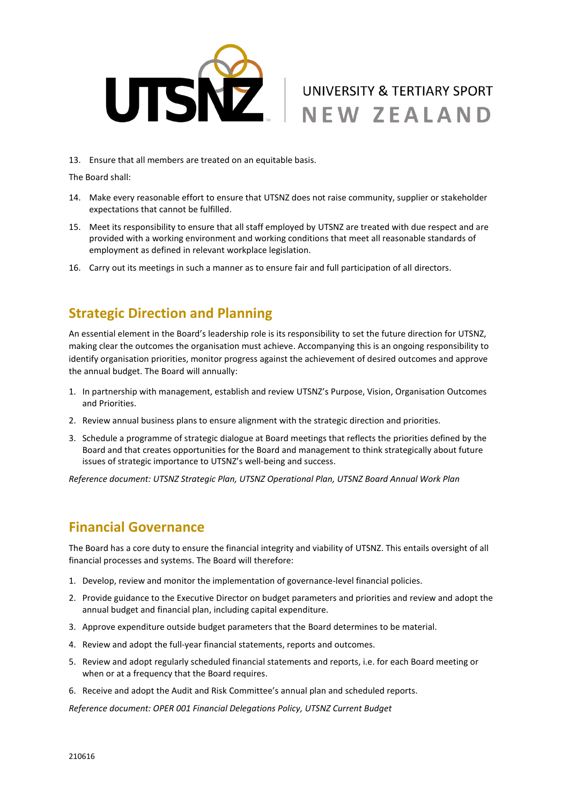

13. Ensure that all members are treated on an equitable basis.

The Board shall:

- 14. Make every reasonable effort to ensure that UTSNZ does not raise community, supplier or stakeholder expectations that cannot be fulfilled.
- 15. Meet its responsibility to ensure that all staff employed by UTSNZ are treated with due respect and are provided with a working environment and working conditions that meet all reasonable standards of employment as defined in relevant workplace legislation.
- 16. Carry out its meetings in such a manner as to ensure fair and full participation of all directors.

#### **Strategic Direction and Planning**

An essential element in the Board's leadership role is its responsibility to set the future direction for UTSNZ, making clear the outcomes the organisation must achieve. Accompanying this is an ongoing responsibility to identify organisation priorities, monitor progress against the achievement of desired outcomes and approve the annual budget. The Board will annually:

- 1. In partnership with management, establish and review UTSNZ's Purpose, Vision, Organisation Outcomes and Priorities.
- 2. Review annual business plans to ensure alignment with the strategic direction and priorities.
- 3. Schedule a programme of strategic dialogue at Board meetings that reflects the priorities defined by the Board and that creates opportunities for the Board and management to think strategically about future issues of strategic importance to UTSNZ's well-being and success.

*Reference document: UTSNZ Strategic Plan, UTSNZ Operational Plan, UTSNZ Board Annual Work Plan* 

#### **Financial Governance**

The Board has a core duty to ensure the financial integrity and viability of UTSNZ. This entails oversight of all financial processes and systems. The Board will therefore:

- 1. Develop, review and monitor the implementation of governance-level financial policies.
- 2. Provide guidance to the Executive Director on budget parameters and priorities and review and adopt the annual budget and financial plan, including capital expenditure.
- 3. Approve expenditure outside budget parameters that the Board determines to be material.
- 4. Review and adopt the full-year financial statements, reports and outcomes.
- 5. Review and adopt regularly scheduled financial statements and reports, i.e. for each Board meeting or when or at a frequency that the Board requires.
- 6. Receive and adopt the Audit and Risk Committee's annual plan and scheduled reports.

*Reference document: OPER 001 Financial Delegations Policy, UTSNZ Current Budget*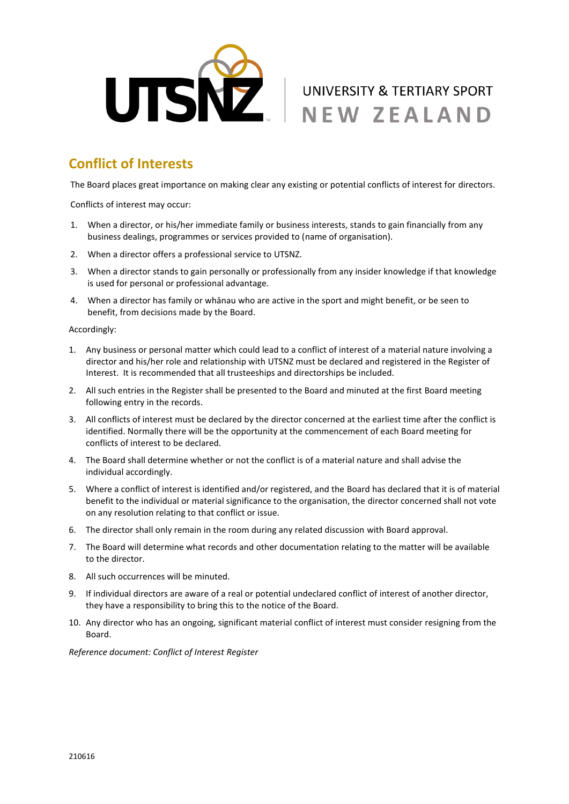

# **Conflict of Interests**

The Board places great importance on making clear any existing or potential conflicts of interest for directors.

Conflicts of interest may occur:

- 1. When a director, or his/her immediate family or business interests, stands to gain financially from any business dealings, programmes or services provided to (name of organisation).
- 2. When a director offers a professional service to UTSNZ.
- 3. When a director stands to gain personally or professionally from any insider knowledge if that knowledge is used for personal or professional advantage.
- 4. When a director has family or whānau who are active in the sport and might benefit, or be seen to benefit, from decisions made by the Board.

Accordingly:

- 1. Any business or personal matter which could lead to a conflict of interest of a material nature involving a director and his/her role and relationship with UTSNZ must be declared and registered in the Register of Interest. It is recommended that all trusteeships and directorships be included.
- 2. All such entries in the Register shall be presented to the Board and minuted at the first Board meeting following entry in the records.
- 3. All conflicts of interest must be declared by the director concerned at the earliest time after the conflict is identified. Normally there will be the opportunity at the commencement of each Board meeting for conflicts of interest to be declared.
- 4. The Board shall determine whether or not the conflict is of a material nature and shall advise the individual accordingly.
- 5. Where a conflict of interest is identified and/or registered, and the Board has declared that it is of material benefit to the individual or material significance to the organisation, the director concerned shall not vote on any resolution relating to that conflict or issue.
- 6. The director shall only remain in the room during any related discussion with Board approval.
- 7. The Board will determine what records and other documentation relating to the matter will be available to the director.
- 8. All such occurrences will be minuted.
- 9. If individual directors are aware of a real or potential undeclared conflict of interest of another director, they have a responsibility to bring this to the notice of the Board.
- 10. Any director who has an ongoing, significant material conflict of interest must consider resigning from the Board.

*Reference document: Conflict of Interest Register*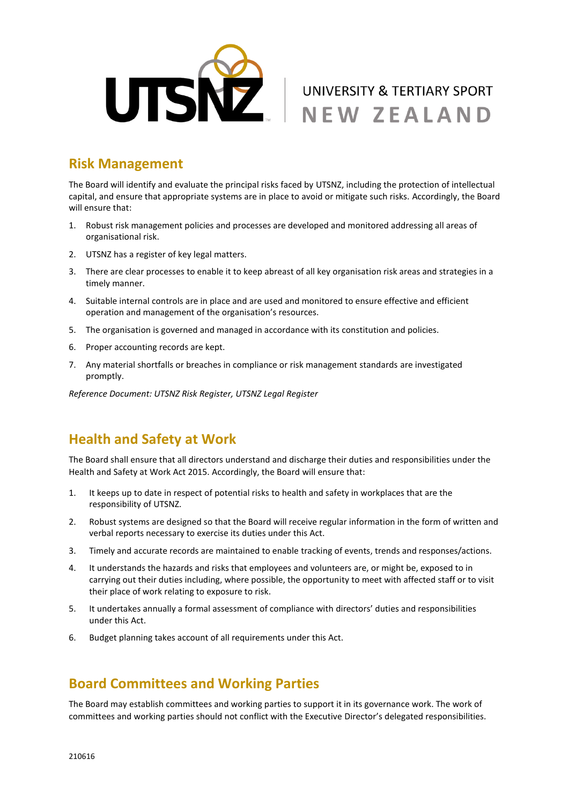

#### **Risk Management**

The Board will identify and evaluate the principal risks faced by UTSNZ, including the protection of intellectual capital, and ensure that appropriate systems are in place to avoid or mitigate such risks. Accordingly, the Board will ensure that:

- 1. Robust risk management policies and processes are developed and monitored addressing all areas of organisational risk.
- 2. UTSNZ has a register of key legal matters.
- 3. There are clear processes to enable it to keep abreast of all key organisation risk areas and strategies in a timely manner.
- 4. Suitable internal controls are in place and are used and monitored to ensure effective and efficient operation and management of the organisation's resources.
- 5. The organisation is governed and managed in accordance with its constitution and policies.
- 6. Proper accounting records are kept.
- 7. Any material shortfalls or breaches in compliance or risk management standards are investigated promptly.

*Reference Document: UTSNZ Risk Register, UTSNZ Legal Register*

## **Health and Safety at Work**

The Board shall ensure that all directors understand and discharge their duties and responsibilities under the Health and Safety at Work Act 2015. Accordingly, the Board will ensure that:

- 1. It keeps up to date in respect of potential risks to health and safety in workplaces that are the responsibility of UTSNZ.
- 2. Robust systems are designed so that the Board will receive regular information in the form of written and verbal reports necessary to exercise its duties under this Act.
- 3. Timely and accurate records are maintained to enable tracking of events, trends and responses/actions.
- 4. It understands the hazards and risks that employees and volunteers are, or might be, exposed to in carrying out their duties including, where possible, the opportunity to meet with affected staff or to visit their place of work relating to exposure to risk.
- 5. It undertakes annually a formal assessment of compliance with directors' duties and responsibilities under this Act.
- 6. Budget planning takes account of all requirements under this Act.

## **Board Committees and Working Parties**

The Board may establish committees and working parties to support it in its governance work. The work of committees and working parties should not conflict with the Executive Director's delegated responsibilities.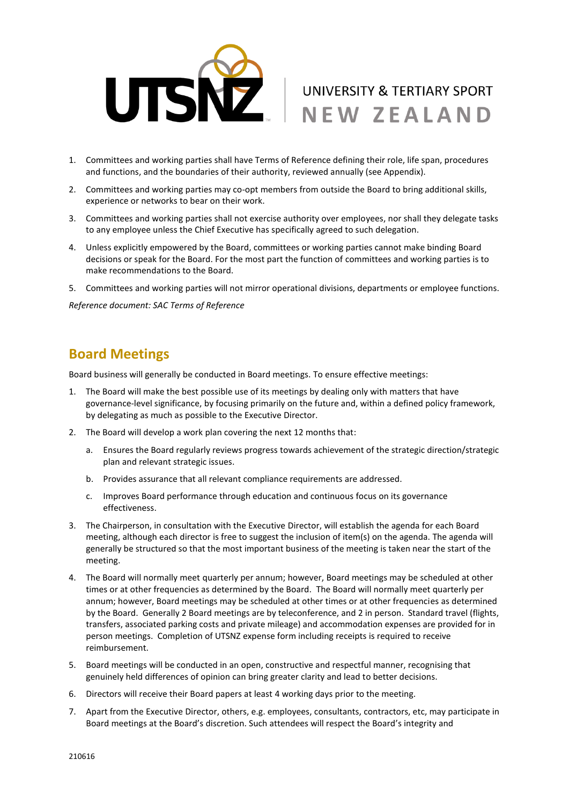

- 1. Committees and working parties shall have Terms of Reference defining their role, life span, procedures and functions, and the boundaries of their authority, reviewed annually (see Appendix).
- 2. Committees and working parties may co-opt members from outside the Board to bring additional skills, experience or networks to bear on their work.
- 3. Committees and working parties shall not exercise authority over employees, nor shall they delegate tasks to any employee unless the Chief Executive has specifically agreed to such delegation.
- 4. Unless explicitly empowered by the Board, committees or working parties cannot make binding Board decisions or speak for the Board. For the most part the function of committees and working parties is to make recommendations to the Board.
- 5. Committees and working parties will not mirror operational divisions, departments or employee functions.

*Reference document: SAC Terms of Reference*

## **Board Meetings**

Board business will generally be conducted in Board meetings. To ensure effective meetings:

- 1. The Board will make the best possible use of its meetings by dealing only with matters that have governance-level significance, by focusing primarily on the future and, within a defined policy framework, by delegating as much as possible to the Executive Director.
- 2. The Board will develop a work plan covering the next 12 months that:
	- a. Ensures the Board regularly reviews progress towards achievement of the strategic direction/strategic plan and relevant strategic issues.
	- b. Provides assurance that all relevant compliance requirements are addressed.
	- c. Improves Board performance through education and continuous focus on its governance effectiveness.
- 3. The Chairperson, in consultation with the Executive Director, will establish the agenda for each Board meeting, although each director is free to suggest the inclusion of item(s) on the agenda. The agenda will generally be structured so that the most important business of the meeting is taken near the start of the meeting.
- 4. The Board will normally meet quarterly per annum; however, Board meetings may be scheduled at other times or at other frequencies as determined by the Board. The Board will normally meet quarterly per annum; however, Board meetings may be scheduled at other times or at other frequencies as determined by the Board. Generally 2 Board meetings are by teleconference, and 2 in person. Standard travel (flights, transfers, associated parking costs and private mileage) and accommodation expenses are provided for in person meetings. Completion of UTSNZ expense form including receipts is required to receive reimbursement.
- 5. Board meetings will be conducted in an open, constructive and respectful manner, recognising that genuinely held differences of opinion can bring greater clarity and lead to better decisions.
- 6. Directors will receive their Board papers at least 4 working days prior to the meeting.
- 7. Apart from the Executive Director, others, e.g. employees, consultants, contractors, etc, may participate in Board meetings at the Board's discretion. Such attendees will respect the Board's integrity and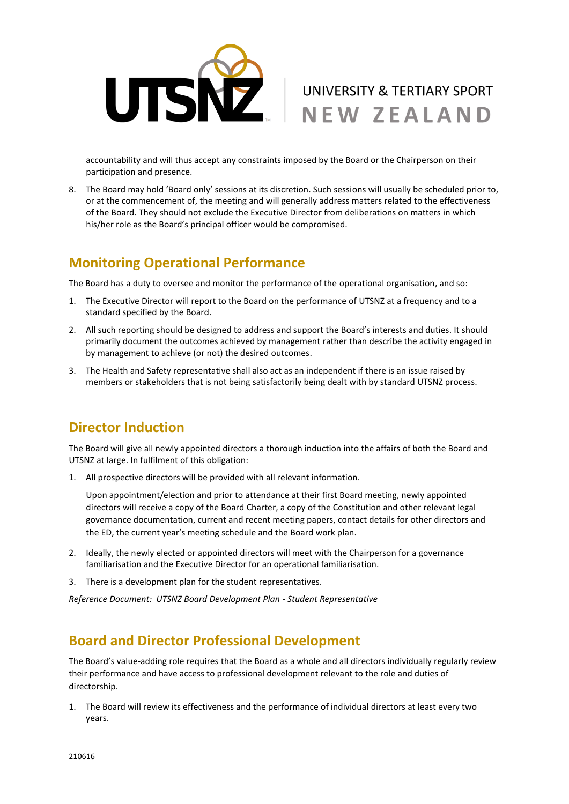

accountability and will thus accept any constraints imposed by the Board or the Chairperson on their participation and presence.

8. The Board may hold 'Board only' sessions at its discretion. Such sessions will usually be scheduled prior to, or at the commencement of, the meeting and will generally address matters related to the effectiveness of the Board. They should not exclude the Executive Director from deliberations on matters in which his/her role as the Board's principal officer would be compromised.

#### **Monitoring Operational Performance**

The Board has a duty to oversee and monitor the performance of the operational organisation, and so:

- 1. The Executive Director will report to the Board on the performance of UTSNZ at a frequency and to a standard specified by the Board.
- 2. All such reporting should be designed to address and support the Board's interests and duties. It should primarily document the outcomes achieved by management rather than describe the activity engaged in by management to achieve (or not) the desired outcomes.
- 3. The Health and Safety representative shall also act as an independent if there is an issue raised by members or stakeholders that is not being satisfactorily being dealt with by standard UTSNZ process.

## **Director Induction**

The Board will give all newly appointed directors a thorough induction into the affairs of both the Board and UTSNZ at large. In fulfilment of this obligation:

1. All prospective directors will be provided with all relevant information.

Upon appointment/election and prior to attendance at their first Board meeting, newly appointed directors will receive a copy of the Board Charter, a copy of the Constitution and other relevant legal governance documentation, current and recent meeting papers, contact details for other directors and the ED, the current year's meeting schedule and the Board work plan.

- 2. Ideally, the newly elected or appointed directors will meet with the Chairperson for a governance familiarisation and the Executive Director for an operational familiarisation.
- 3. There is a development plan for the student representatives.

*Reference Document: UTSNZ Board Development Plan - Student Representative* 

## **Board and Director Professional Development**

The Board's value-adding role requires that the Board as a whole and all directors individually regularly review their performance and have access to professional development relevant to the role and duties of directorship.

1. The Board will review its effectiveness and the performance of individual directors at least every two years.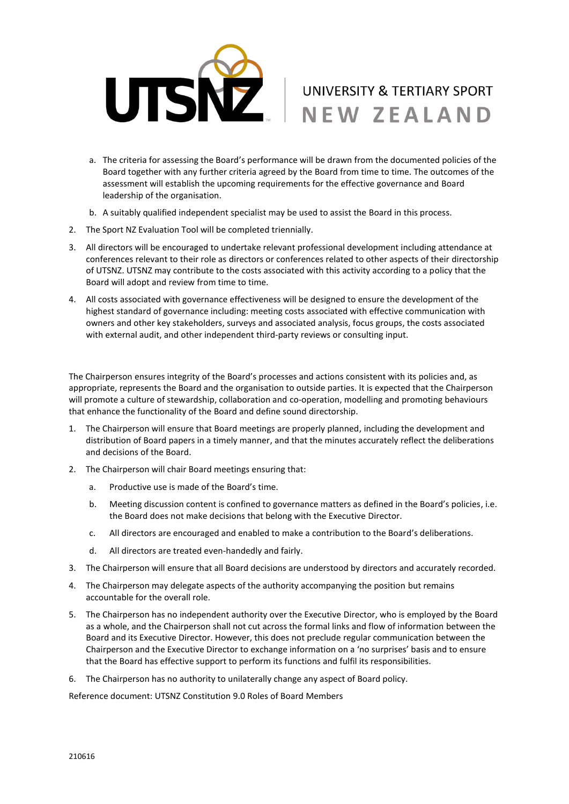

- a. The criteria for assessing the Board's performance will be drawn from the documented policies of the Board together with any further criteria agreed by the Board from time to time. The outcomes of the assessment will establish the upcoming requirements for the effective governance and Board leadership of the organisation.
- b. A suitably qualified independent specialist may be used to assist the Board in this process.
- 2. The Sport NZ Evaluation Tool will be completed triennially.
- 3. All directors will be encouraged to undertake relevant professional development including attendance at conferences relevant to their role as directors or conferences related to other aspects of their directorship of UTSNZ. UTSNZ may contribute to the costs associated with this activity according to a policy that the Board will adopt and review from time to time.
- 4. All costs associated with governance effectiveness will be designed to ensure the development of the highest standard of governance including: meeting costs associated with effective communication with owners and other key stakeholders, surveys and associated analysis, focus groups, the costs associated with external audit, and other independent third-party reviews or consulting input.

The Chairperson ensures integrity of the Board's processes and actions consistent with its policies and, as appropriate, represents the Board and the organisation to outside parties. It is expected that the Chairperson will promote a culture of stewardship, collaboration and co-operation, modelling and promoting behaviours that enhance the functionality of the Board and define sound directorship.

- 1. The Chairperson will ensure that Board meetings are properly planned, including the development and distribution of Board papers in a timely manner, and that the minutes accurately reflect the deliberations and decisions of the Board.
- 2. The Chairperson will chair Board meetings ensuring that:
	- a. Productive use is made of the Board's time.
	- b. Meeting discussion content is confined to governance matters as defined in the Board's policies, i.e. the Board does not make decisions that belong with the Executive Director.
	- c. All directors are encouraged and enabled to make a contribution to the Board's deliberations.
	- d. All directors are treated even-handedly and fairly.
- 3. The Chairperson will ensure that all Board decisions are understood by directors and accurately recorded.
- 4. The Chairperson may delegate aspects of the authority accompanying the position but remains accountable for the overall role.
- 5. The Chairperson has no independent authority over the Executive Director, who is employed by the Board as a whole, and the Chairperson shall not cut across the formal links and flow of information between the Board and its Executive Director. However, this does not preclude regular communication between the Chairperson and the Executive Director to exchange information on a 'no surprises' basis and to ensure that the Board has effective support to perform its functions and fulfil its responsibilities.
- 6. The Chairperson has no authority to unilaterally change any aspect of Board policy.

Reference document: UTSNZ Constitution 9.0 Roles of Board Members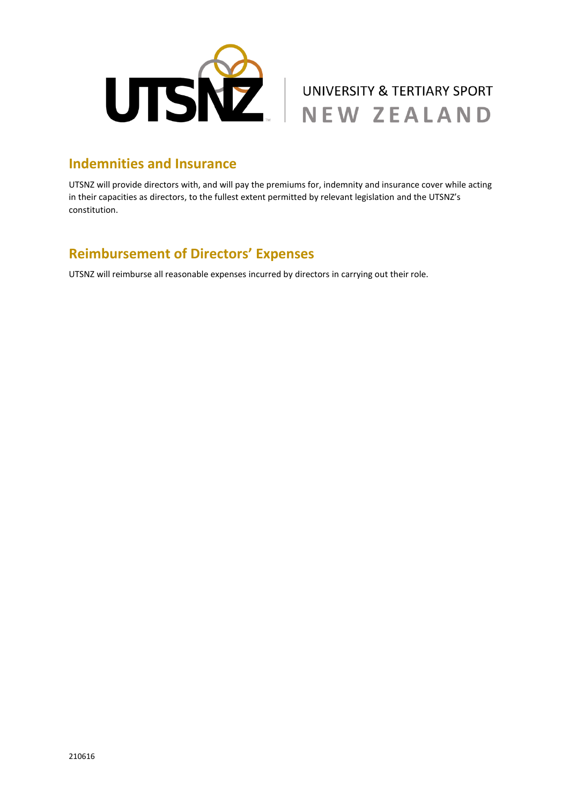



#### **Indemnities and Insurance**

UTSNZ will provide directors with, and will pay the premiums for, indemnity and insurance cover while acting in their capacities as directors, to the fullest extent permitted by relevant legislation and the UTSNZ's constitution.

# **Reimbursement of Directors' Expenses**

UTSNZ will reimburse all reasonable expenses incurred by directors in carrying out their role.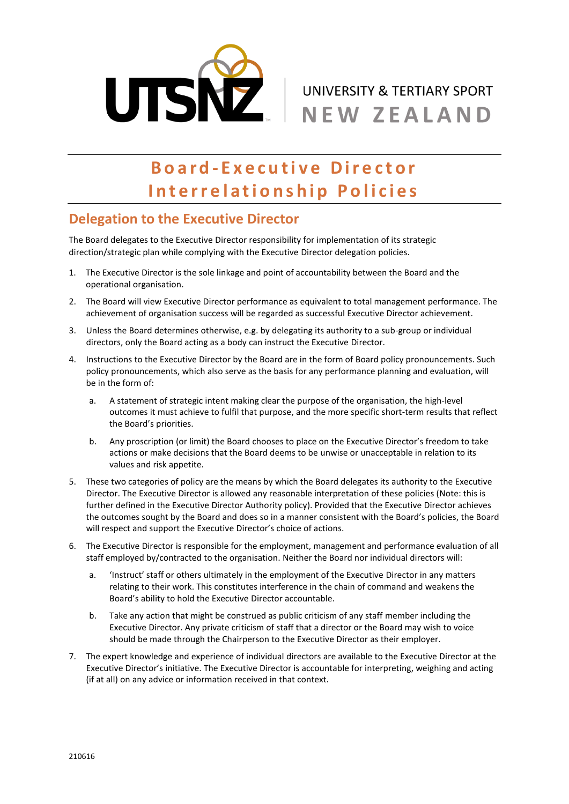

# **B o a r d - E x e c u t i v e D i r e c t o r Interrelationship Policies**

#### **Delegation to the Executive Director**

The Board delegates to the Executive Director responsibility for implementation of its strategic direction/strategic plan while complying with the Executive Director delegation policies.

- 1. The Executive Director is the sole linkage and point of accountability between the Board and the operational organisation.
- 2. The Board will view Executive Director performance as equivalent to total management performance. The achievement of organisation success will be regarded as successful Executive Director achievement.
- 3. Unless the Board determines otherwise, e.g. by delegating its authority to a sub-group or individual directors, only the Board acting as a body can instruct the Executive Director.
- 4. Instructions to the Executive Director by the Board are in the form of Board policy pronouncements. Such policy pronouncements, which also serve as the basis for any performance planning and evaluation, will be in the form of:
	- a. A statement of strategic intent making clear the purpose of the organisation, the high-level outcomes it must achieve to fulfil that purpose, and the more specific short-term results that reflect the Board's priorities.
	- b. Any proscription (or limit) the Board chooses to place on the Executive Director's freedom to take actions or make decisions that the Board deems to be unwise or unacceptable in relation to its values and risk appetite.
- 5. These two categories of policy are the means by which the Board delegates its authority to the Executive Director. The Executive Director is allowed any reasonable interpretation of these policies (Note: this is further defined in the Executive Director Authority policy). Provided that the Executive Director achieves the outcomes sought by the Board and does so in a manner consistent with the Board's policies, the Board will respect and support the Executive Director's choice of actions.
- 6. The Executive Director is responsible for the employment, management and performance evaluation of all staff employed by/contracted to the organisation. Neither the Board nor individual directors will:
	- a. 'Instruct' staff or others ultimately in the employment of the Executive Director in any matters relating to their work. This constitutes interference in the chain of command and weakens the Board's ability to hold the Executive Director accountable.
	- b. Take any action that might be construed as public criticism of any staff member including the Executive Director. Any private criticism of staff that a director or the Board may wish to voice should be made through the Chairperson to the Executive Director as their employer.
- 7. The expert knowledge and experience of individual directors are available to the Executive Director at the Executive Director's initiative. The Executive Director is accountable for interpreting, weighing and acting (if at all) on any advice or information received in that context.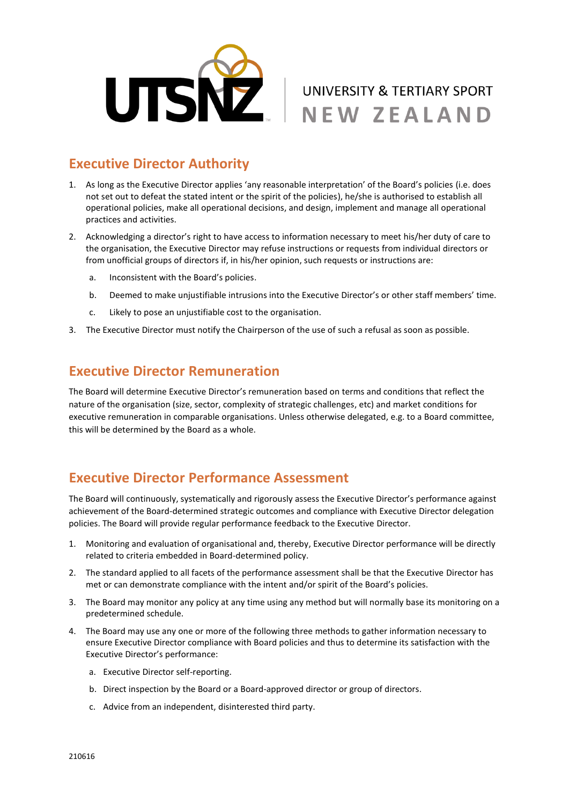

## **Executive Director Authority**

- 1. As long as the Executive Director applies 'any reasonable interpretation' of the Board's policies (i.e. does not set out to defeat the stated intent or the spirit of the policies), he/she is authorised to establish all operational policies, make all operational decisions, and design, implement and manage all operational practices and activities.
- 2. Acknowledging a director's right to have access to information necessary to meet his/her duty of care to the organisation, the Executive Director may refuse instructions or requests from individual directors or from unofficial groups of directors if, in his/her opinion, such requests or instructions are:
	- a. Inconsistent with the Board's policies.
	- b. Deemed to make unjustifiable intrusions into the Executive Director's or other staff members' time.
	- c. Likely to pose an unjustifiable cost to the organisation.
- 3. The Executive Director must notify the Chairperson of the use of such a refusal as soon as possible.

#### **Executive Director Remuneration**

The Board will determine Executive Director's remuneration based on terms and conditions that reflect the nature of the organisation (size, sector, complexity of strategic challenges, etc) and market conditions for executive remuneration in comparable organisations. Unless otherwise delegated, e.g. to a Board committee, this will be determined by the Board as a whole.

## **Executive Director Performance Assessment**

The Board will continuously, systematically and rigorously assess the Executive Director's performance against achievement of the Board-determined strategic outcomes and compliance with Executive Director delegation policies. The Board will provide regular performance feedback to the Executive Director.

- 1. Monitoring and evaluation of organisational and, thereby, Executive Director performance will be directly related to criteria embedded in Board-determined policy.
- 2. The standard applied to all facets of the performance assessment shall be that the Executive Director has met or can demonstrate compliance with the intent and/or spirit of the Board's policies.
- 3. The Board may monitor any policy at any time using any method but will normally base its monitoring on a predetermined schedule.
- 4. The Board may use any one or more of the following three methods to gather information necessary to ensure Executive Director compliance with Board policies and thus to determine its satisfaction with the Executive Director's performance:
	- a. Executive Director self-reporting.
	- b. Direct inspection by the Board or a Board-approved director or group of directors.
	- c. Advice from an independent, disinterested third party.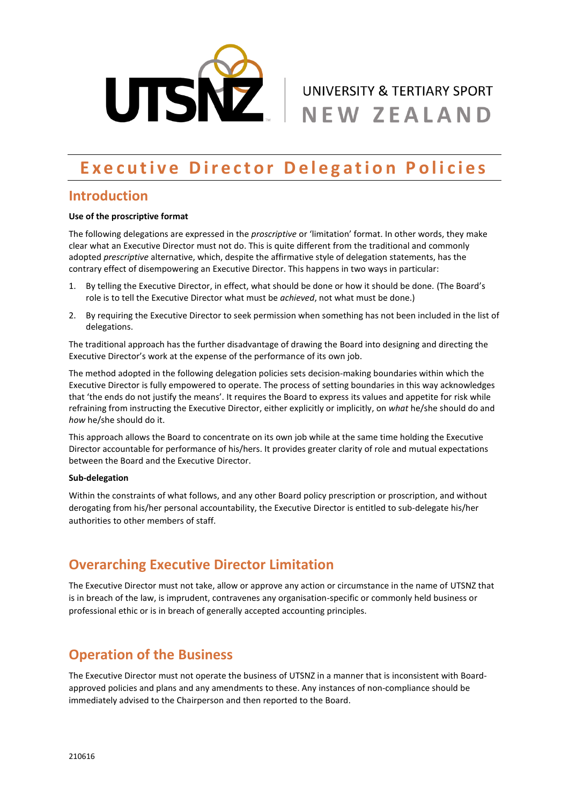

# **Executive Director Delegation Policies**

#### **Introduction**

#### **Use of the proscriptive format**

The following delegations are expressed in the *proscriptive* or 'limitation' format. In other words, they make clear what an Executive Director must not do. This is quite different from the traditional and commonly adopted *prescriptive* alternative, which, despite the affirmative style of delegation statements, has the contrary effect of disempowering an Executive Director. This happens in two ways in particular:

- 1. By telling the Executive Director, in effect, what should be done or how it should be done. (The Board's role is to tell the Executive Director what must be *achieved*, not what must be done.)
- 2. By requiring the Executive Director to seek permission when something has not been included in the list of delegations.

The traditional approach has the further disadvantage of drawing the Board into designing and directing the Executive Director's work at the expense of the performance of its own job.

The method adopted in the following delegation policies sets decision-making boundaries within which the Executive Director is fully empowered to operate. The process of setting boundaries in this way acknowledges that 'the ends do not justify the means'. It requires the Board to express its values and appetite for risk while refraining from instructing the Executive Director, either explicitly or implicitly, on *what* he/she should do and *how* he/she should do it.

This approach allows the Board to concentrate on its own job while at the same time holding the Executive Director accountable for performance of his/hers. It provides greater clarity of role and mutual expectations between the Board and the Executive Director.

#### **Sub-delegation**

Within the constraints of what follows, and any other Board policy prescription or proscription, and without derogating from his/her personal accountability, the Executive Director is entitled to sub-delegate his/her authorities to other members of staff.

## **Overarching Executive Director Limitation**

The Executive Director must not take, allow or approve any action or circumstance in the name of UTSNZ that is in breach of the law, is imprudent, contravenes any organisation-specific or commonly held business or professional ethic or is in breach of generally accepted accounting principles.

## **Operation of the Business**

The Executive Director must not operate the business of UTSNZ in a manner that is inconsistent with Boardapproved policies and plans and any amendments to these. Any instances of non-compliance should be immediately advised to the Chairperson and then reported to the Board.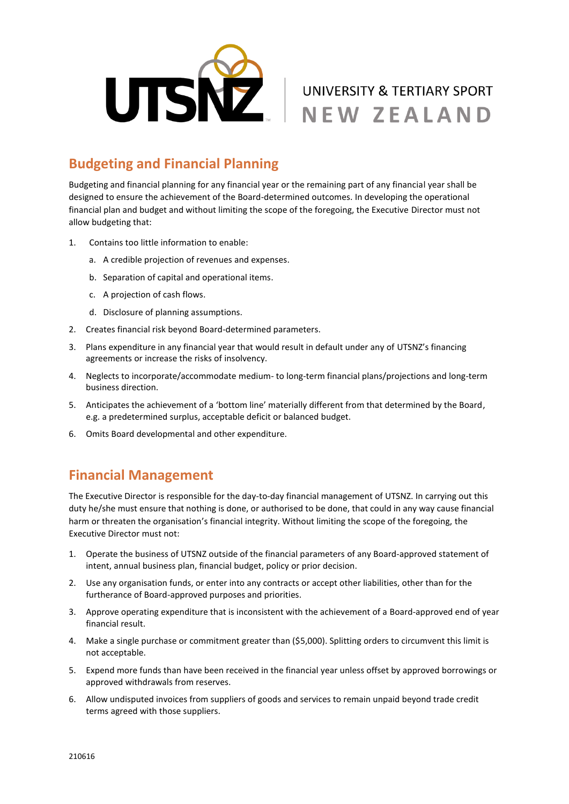

# **Budgeting and Financial Planning**

Budgeting and financial planning for any financial year or the remaining part of any financial year shall be designed to ensure the achievement of the Board-determined outcomes. In developing the operational financial plan and budget and without limiting the scope of the foregoing, the Executive Director must not allow budgeting that:

- 1. Contains too little information to enable:
	- a. A credible projection of revenues and expenses.
	- b. Separation of capital and operational items.
	- c. A projection of cash flows.
	- d. Disclosure of planning assumptions.
- 2. Creates financial risk beyond Board-determined parameters.
- 3. Plans expenditure in any financial year that would result in default under any of UTSNZ's financing agreements or increase the risks of insolvency.
- 4. Neglects to incorporate/accommodate medium- to long-term financial plans/projections and long-term business direction.
- 5. Anticipates the achievement of a 'bottom line' materially different from that determined by the Board, e.g. a predetermined surplus, acceptable deficit or balanced budget.
- 6. Omits Board developmental and other expenditure.

## **Financial Management**

The Executive Director is responsible for the day-to-day financial management of UTSNZ. In carrying out this duty he/she must ensure that nothing is done, or authorised to be done, that could in any way cause financial harm or threaten the organisation's financial integrity. Without limiting the scope of the foregoing, the Executive Director must not:

- 1. Operate the business of UTSNZ outside of the financial parameters of any Board-approved statement of intent, annual business plan, financial budget, policy or prior decision.
- 2. Use any organisation funds, or enter into any contracts or accept other liabilities, other than for the furtherance of Board-approved purposes and priorities.
- 3. Approve operating expenditure that is inconsistent with the achievement of a Board-approved end of year financial result.
- 4. Make a single purchase or commitment greater than (\$5,000). Splitting orders to circumvent this limit is not acceptable.
- 5. Expend more funds than have been received in the financial year unless offset by approved borrowings or approved withdrawals from reserves.
- 6. Allow undisputed invoices from suppliers of goods and services to remain unpaid beyond trade credit terms agreed with those suppliers.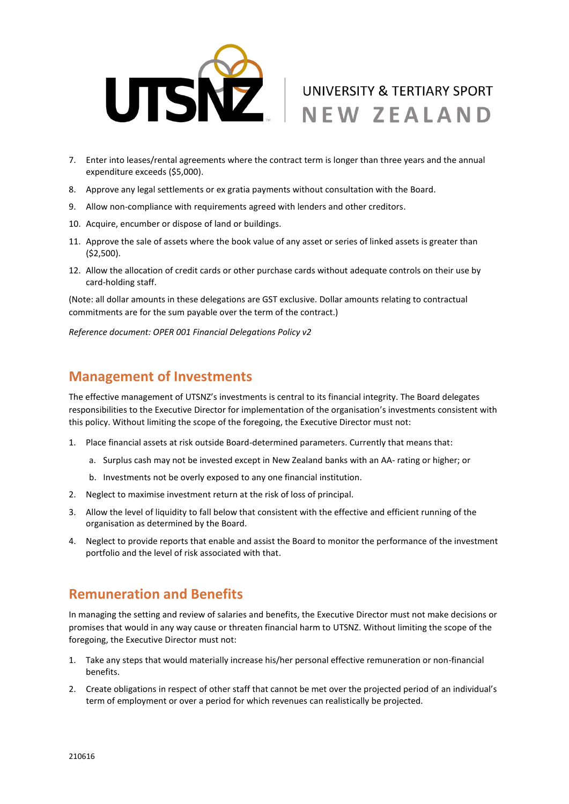

- 7. Enter into leases/rental agreements where the contract term is longer than three years and the annual expenditure exceeds (\$5,000).
- 8. Approve any legal settlements or ex gratia payments without consultation with the Board.
- 9. Allow non-compliance with requirements agreed with lenders and other creditors.
- 10. Acquire, encumber or dispose of land or buildings.
- 11. Approve the sale of assets where the book value of any asset or series of linked assets is greater than (\$2,500).
- 12. Allow the allocation of credit cards or other purchase cards without adequate controls on their use by card-holding staff.

(Note: all dollar amounts in these delegations are GST exclusive. Dollar amounts relating to contractual commitments are for the sum payable over the term of the contract.)

*Reference document: OPER 001 Financial Delegations Policy v2*

#### **Management of Investments**

The effective management of UTSNZ's investments is central to its financial integrity. The Board delegates responsibilities to the Executive Director for implementation of the organisation's investments consistent with this policy. Without limiting the scope of the foregoing, the Executive Director must not:

- 1. Place financial assets at risk outside Board-determined parameters. Currently that means that:
	- a. Surplus cash may not be invested except in New Zealand banks with an AA- rating or higher; or
	- b. Investments not be overly exposed to any one financial institution.
- 2. Neglect to maximise investment return at the risk of loss of principal.
- 3. Allow the level of liquidity to fall below that consistent with the effective and efficient running of the organisation as determined by the Board.
- 4. Neglect to provide reports that enable and assist the Board to monitor the performance of the investment portfolio and the level of risk associated with that.

#### **Remuneration and Benefits**

In managing the setting and review of salaries and benefits, the Executive Director must not make decisions or promises that would in any way cause or threaten financial harm to UTSNZ. Without limiting the scope of the foregoing, the Executive Director must not:

- 1. Take any steps that would materially increase his/her personal effective remuneration or non-financial benefits.
- 2. Create obligations in respect of other staff that cannot be met over the projected period of an individual's term of employment or over a period for which revenues can realistically be projected.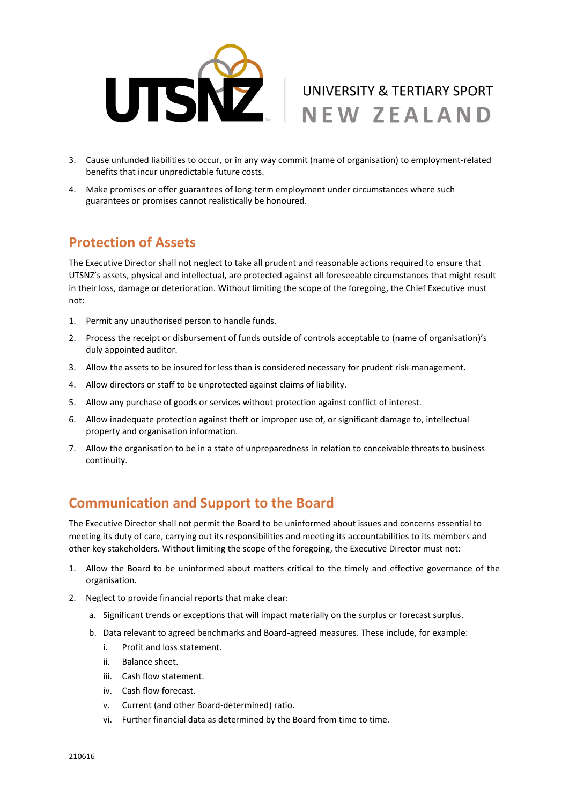

- 3. Cause unfunded liabilities to occur, or in any way commit (name of organisation) to employment-related benefits that incur unpredictable future costs.
- 4. Make promises or offer guarantees of long-term employment under circumstances where such guarantees or promises cannot realistically be honoured.

#### **Protection of Assets**

The Executive Director shall not neglect to take all prudent and reasonable actions required to ensure that UTSNZ's assets, physical and intellectual, are protected against all foreseeable circumstances that might result in their loss, damage or deterioration. Without limiting the scope of the foregoing, the Chief Executive must not:

- 1. Permit any unauthorised person to handle funds.
- 2. Process the receipt or disbursement of funds outside of controls acceptable to (name of organisation)'s duly appointed auditor.
- 3. Allow the assets to be insured for less than is considered necessary for prudent risk-management.
- 4. Allow directors or staff to be unprotected against claims of liability.
- 5. Allow any purchase of goods or services without protection against conflict of interest.
- 6. Allow inadequate protection against theft or improper use of, or significant damage to, intellectual property and organisation information.
- 7. Allow the organisation to be in a state of unpreparedness in relation to conceivable threats to business continuity.

## **Communication and Support to the Board**

The Executive Director shall not permit the Board to be uninformed about issues and concerns essential to meeting its duty of care, carrying out its responsibilities and meeting its accountabilities to its members and other key stakeholders. Without limiting the scope of the foregoing, the Executive Director must not:

- 1. Allow the Board to be uninformed about matters critical to the timely and effective governance of the organisation.
- 2. Neglect to provide financial reports that make clear:
	- a. Significant trends or exceptions that will impact materially on the surplus or forecast surplus.
	- b. Data relevant to agreed benchmarks and Board-agreed measures. These include, for example:
		- i. Profit and loss statement.
		- ii. Balance sheet.
		- iii. Cash flow statement.
		- iv. Cash flow forecast.
		- v. Current (and other Board-determined) ratio.
		- vi. Further financial data as determined by the Board from time to time.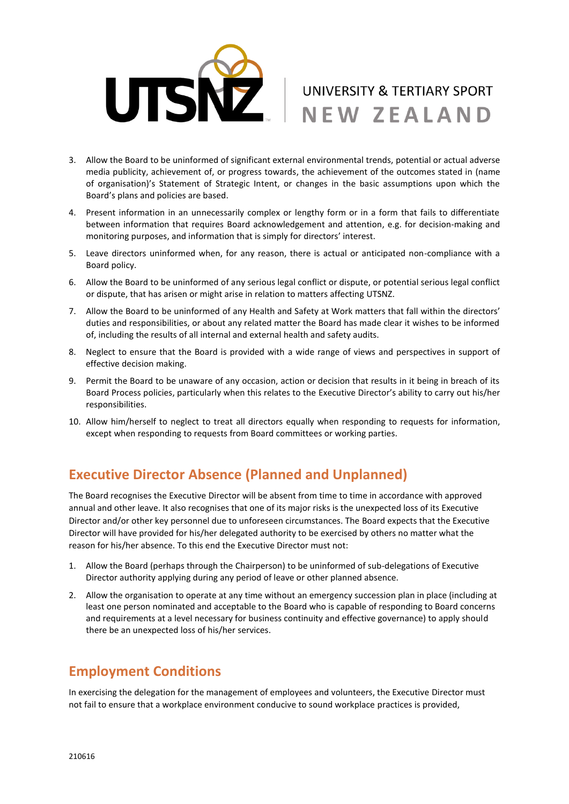

- 3. Allow the Board to be uninformed of significant external environmental trends, potential or actual adverse media publicity, achievement of, or progress towards, the achievement of the outcomes stated in (name of organisation)'s Statement of Strategic Intent, or changes in the basic assumptions upon which the Board's plans and policies are based.
- 4. Present information in an unnecessarily complex or lengthy form or in a form that fails to differentiate between information that requires Board acknowledgement and attention, e.g. for decision-making and monitoring purposes, and information that is simply for directors' interest.
- 5. Leave directors uninformed when, for any reason, there is actual or anticipated non-compliance with a Board policy.
- 6. Allow the Board to be uninformed of any serious legal conflict or dispute, or potential serious legal conflict or dispute, that has arisen or might arise in relation to matters affecting UTSNZ.
- 7. Allow the Board to be uninformed of any Health and Safety at Work matters that fall within the directors' duties and responsibilities, or about any related matter the Board has made clear it wishes to be informed of, including the results of all internal and external health and safety audits.
- 8. Neglect to ensure that the Board is provided with a wide range of views and perspectives in support of effective decision making.
- 9. Permit the Board to be unaware of any occasion, action or decision that results in it being in breach of its Board Process policies, particularly when this relates to the Executive Director's ability to carry out his/her responsibilities.
- 10. Allow him/herself to neglect to treat all directors equally when responding to requests for information, except when responding to requests from Board committees or working parties.

# **Executive Director Absence (Planned and Unplanned)**

The Board recognises the Executive Director will be absent from time to time in accordance with approved annual and other leave. It also recognises that one of its major risks is the unexpected loss of its Executive Director and/or other key personnel due to unforeseen circumstances. The Board expects that the Executive Director will have provided for his/her delegated authority to be exercised by others no matter what the reason for his/her absence. To this end the Executive Director must not:

- 1. Allow the Board (perhaps through the Chairperson) to be uninformed of sub-delegations of Executive Director authority applying during any period of leave or other planned absence.
- 2. Allow the organisation to operate at any time without an emergency succession plan in place (including at least one person nominated and acceptable to the Board who is capable of responding to Board concerns and requirements at a level necessary for business continuity and effective governance) to apply should there be an unexpected loss of his/her services.

## **Employment Conditions**

In exercising the delegation for the management of employees and volunteers, the Executive Director must not fail to ensure that a workplace environment conducive to sound workplace practices is provided,